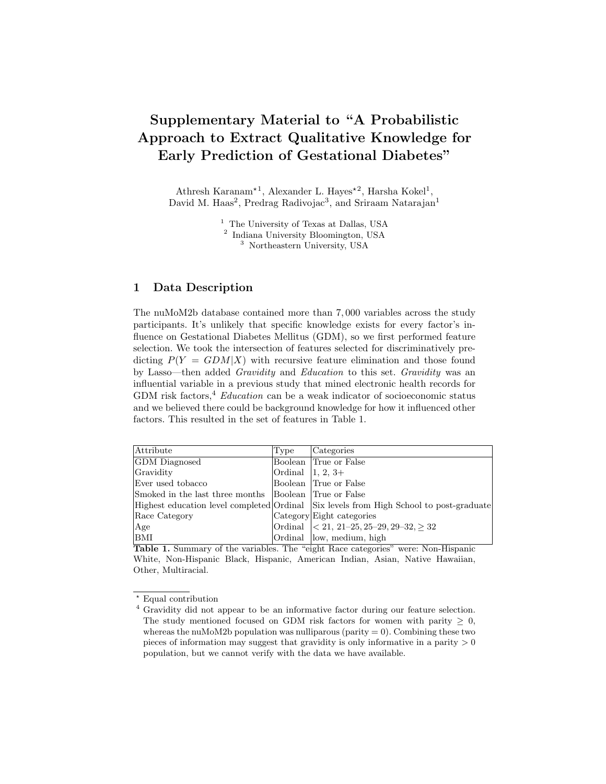## Supplementary Material to "A Probabilistic Approach to Extract Qualitative Knowledge for Early Prediction of Gestational Diabetes"

Athresh Karanam<sup>\*1</sup>, Alexander L. Hayes<sup>\*2</sup>, Harsha Kokel<sup>1</sup>, David M. Haas<sup>2</sup>, Predrag Radivojac<sup>3</sup>, and Sriraam Natarajan<sup>1</sup>

> <sup>1</sup> The University of Texas at Dallas, USA 2 Indiana University Bloomington, USA <sup>3</sup> Northeastern University, USA

## 1 Data Description

The nuMoM2b database contained more than 7, 000 variables across the study participants. It's unlikely that specific knowledge exists for every factor's influence on Gestational Diabetes Mellitus (GDM), so we first performed feature selection. We took the intersection of features selected for discriminatively predicting  $P(Y = GDM|X)$  with recursive feature elimination and those found by Lasso—then added Gravidity and Education to this set. Gravidity was an influential variable in a previous study that mined electronic health records for GDM risk factors,<sup>4</sup> Education can be a weak indicator of socioeconomic status and we believed there could be background knowledge for how it influenced other factors. This resulted in the set of features in Table 1.

| Attribute                                             | Type                | Categories                                                                                         |
|-------------------------------------------------------|---------------------|----------------------------------------------------------------------------------------------------|
| <b>GDM</b> Diagnosed                                  |                     | Boolean True or False                                                                              |
| Gravidity                                             | Ordinal $ 1, 2, 3+$ |                                                                                                    |
| Ever used tobacco                                     |                     | Boolean True or False                                                                              |
| Smoked in the last three months Boolean True or False |                     |                                                                                                    |
|                                                       |                     | Highest education level completed Ordinal Six levels from High School to post-graduate             |
| Race Category                                         |                     | Category Eight categories                                                                          |
| Age                                                   |                     | Ordinal $\vert \langle 21, 21-25, 25-29, 29-32, \geq 32 \vert$                                     |
| <b>BMI</b><br>$\alpha$ $\alpha$<br>.<br>-- - -        |                     | Ordinal low, medium, high<br>$\sim$ $\sim$<br><br>$\sim$ $\sim$ $\sim$ $\sim$ $\sim$ $\sim$ $\sim$ |

Table 1. Summary of the variables. The "eight Race categories" were: Non-Hispanic White, Non-Hispanic Black, Hispanic, American Indian, Asian, Native Hawaiian, Other, Multiracial.

? Equal contribution

<sup>4</sup> Gravidity did not appear to be an informative factor during our feature selection. The study mentioned focused on GDM risk factors for women with parity  $\geq 0$ , whereas the nuMoM2b population was nulliparous (parity  $= 0$ ). Combining these two pieces of information may suggest that gravidity is only informative in a parity  $> 0$ population, but we cannot verify with the data we have available.